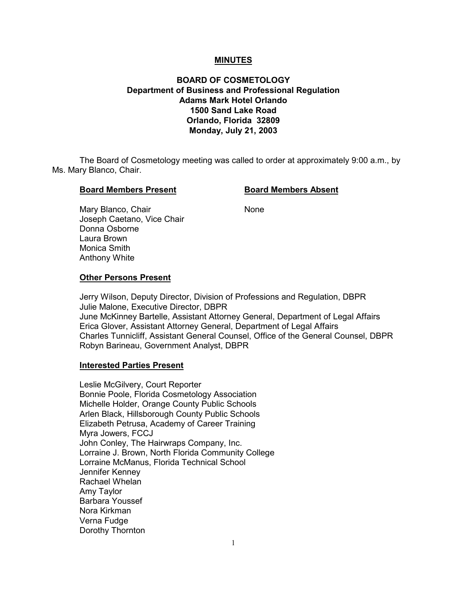# **MINUTES**

# **BOARD OF COSMETOLOGY Department of Business and Professional Regulation Adams Mark Hotel Orlando 1500 Sand Lake Road Orlando, Florida 32809 Monday, July 21, 2003**

The Board of Cosmetology meeting was called to order at approximately 9:00 a.m., by Ms. Mary Blanco, Chair.

## **Board Members Present Constrained Board Members Absent**

Mary Blanco, Chair None Joseph Caetano, Vice Chair Donna Osborne Laura Brown Monica Smith Anthony White

## **Other Persons Present**

Jerry Wilson, Deputy Director, Division of Professions and Regulation, DBPR Julie Malone, Executive Director, DBPR June McKinney Bartelle, Assistant Attorney General, Department of Legal Affairs Erica Glover, Assistant Attorney General, Department of Legal Affairs Charles Tunnicliff, Assistant General Counsel, Office of the General Counsel, DBPR Robyn Barineau, Government Analyst, DBPR

# **Interested Parties Present**

Leslie McGilvery, Court Reporter Bonnie Poole, Florida Cosmetology Association Michelle Holder, Orange County Public Schools Arlen Black, Hillsborough County Public Schools Elizabeth Petrusa, Academy of Career Training Myra Jowers, FCCJ John Conley, The Hairwraps Company, Inc. Lorraine J. Brown, North Florida Community College Lorraine McManus, Florida Technical School Jennifer Kenney Rachael Whelan Amy Taylor Barbara Youssef Nora Kirkman Verna Fudge Dorothy Thornton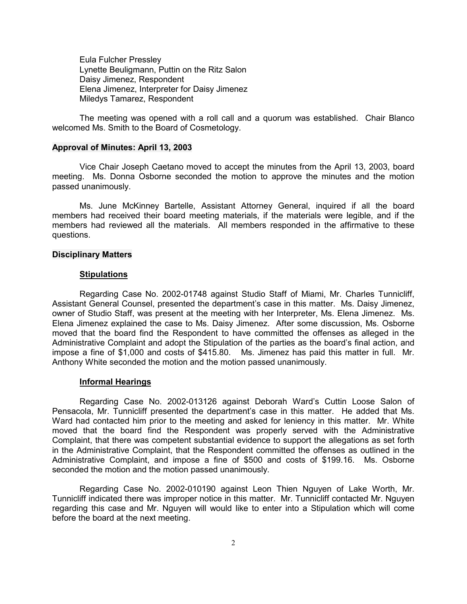Eula Fulcher Pressley Lynette Beuligmann, Puttin on the Ritz Salon Daisy Jimenez, Respondent Elena Jimenez, Interpreter for Daisy Jimenez Miledys Tamarez, Respondent

The meeting was opened with a roll call and a quorum was established. Chair Blanco welcomed Ms. Smith to the Board of Cosmetology.

#### **Approval of Minutes: April 13, 2003**

Vice Chair Joseph Caetano moved to accept the minutes from the April 13, 2003, board meeting. Ms. Donna Osborne seconded the motion to approve the minutes and the motion passed unanimously.

Ms. June McKinney Bartelle, Assistant Attorney General, inquired if all the board members had received their board meeting materials, if the materials were legible, and if the members had reviewed all the materials. All members responded in the affirmative to these questions.

# **Disciplinary Matters**

#### **Stipulations**

Regarding Case No. 2002-01748 against Studio Staff of Miami, Mr. Charles Tunnicliff, Assistant General Counsel, presented the department's case in this matter. Ms. Daisy Jimenez, owner of Studio Staff, was present at the meeting with her Interpreter, Ms. Elena Jimenez. Ms. Elena Jimenez explained the case to Ms. Daisy Jimenez. After some discussion, Ms. Osborne moved that the board find the Respondent to have committed the offenses as alleged in the Administrative Complaint and adopt the Stipulation of the parties as the board's final action, and impose a fine of \$1,000 and costs of \$415.80. Ms. Jimenez has paid this matter in full. Mr. Anthony White seconded the motion and the motion passed unanimously.

# **Informal Hearings**

Regarding Case No. 2002-013126 against Deborah Ward's Cuttin Loose Salon of Pensacola, Mr. Tunnicliff presented the department's case in this matter. He added that Ms. Ward had contacted him prior to the meeting and asked for leniency in this matter. Mr. White moved that the board find the Respondent was properly served with the Administrative Complaint, that there was competent substantial evidence to support the allegations as set forth in the Administrative Complaint, that the Respondent committed the offenses as outlined in the Administrative Complaint, and impose a fine of \$500 and costs of \$199.16. Ms. Osborne seconded the motion and the motion passed unanimously.

Regarding Case No. 2002-010190 against Leon Thien Nguyen of Lake Worth, Mr. Tunnicliff indicated there was improper notice in this matter. Mr. Tunnicliff contacted Mr. Nguyen regarding this case and Mr. Nguyen will would like to enter into a Stipulation which will come before the board at the next meeting.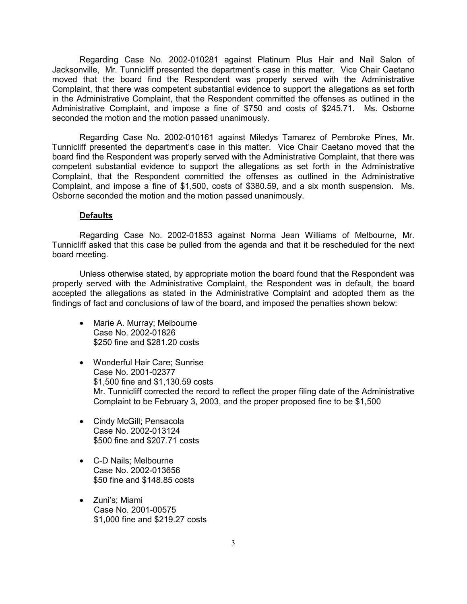Regarding Case No. 2002-010281 against Platinum Plus Hair and Nail Salon of Jacksonville, Mr. Tunnicliff presented the department's case in this matter. Vice Chair Caetano moved that the board find the Respondent was properly served with the Administrative Complaint, that there was competent substantial evidence to support the allegations as set forth in the Administrative Complaint, that the Respondent committed the offenses as outlined in the Administrative Complaint, and impose a fine of \$750 and costs of \$245.71. Ms. Osborne seconded the motion and the motion passed unanimously.

Regarding Case No. 2002-010161 against Miledys Tamarez of Pembroke Pines, Mr. Tunnicliff presented the department's case in this matter. Vice Chair Caetano moved that the board find the Respondent was properly served with the Administrative Complaint, that there was competent substantial evidence to support the allegations as set forth in the Administrative Complaint, that the Respondent committed the offenses as outlined in the Administrative Complaint, and impose a fine of \$1,500, costs of \$380.59, and a six month suspension. Ms. Osborne seconded the motion and the motion passed unanimously.

# **Defaults**

Regarding Case No. 2002-01853 against Norma Jean Williams of Melbourne, Mr. Tunnicliff asked that this case be pulled from the agenda and that it be rescheduled for the next board meeting.

Unless otherwise stated, by appropriate motion the board found that the Respondent was properly served with the Administrative Complaint, the Respondent was in default, the board accepted the allegations as stated in the Administrative Complaint and adopted them as the findings of fact and conclusions of law of the board, and imposed the penalties shown below:

- Marie A. Murray; Melbourne Case No. 2002-01826 \$250 fine and \$281.20 costs
- Wonderful Hair Care; Sunrise Case No. 2001-02377 \$1,500 fine and \$1,130.59 costs Mr. Tunnicliff corrected the record to reflect the proper filing date of the Administrative Complaint to be February 3, 2003, and the proper proposed fine to be \$1,500
- Cindy McGill; Pensacola Case No. 2002-013124 \$500 fine and \$207.71 costs
- C-D Nails; Melbourne Case No. 2002-013656 \$50 fine and \$148.85 costs
- Zuni's; Miami Case No. 2001-00575 \$1,000 fine and \$219.27 costs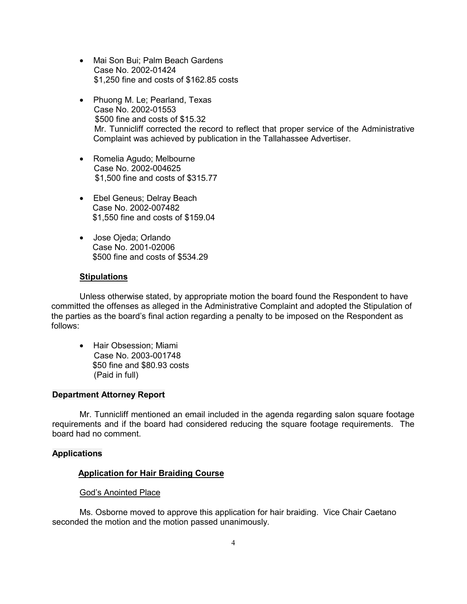- Mai Son Bui; Palm Beach Gardens Case No. 2002-01424 \$1,250 fine and costs of \$162.85 costs
- Phuong M. Le; Pearland, Texas Case No. 2002-01553 \$500 fine and costs of \$15.32 Mr. Tunnicliff corrected the record to reflect that proper service of the Administrative Complaint was achieved by publication in the Tallahassee Advertiser.
- Romelia Agudo; Melbourne Case No. 2002-004625 \$1,500 fine and costs of \$315.77
- Ebel Geneus; Delray Beach Case No. 2002-007482 \$1,550 fine and costs of \$159.04
- Jose Ojeda; Orlando Case No. 2001-02006 \$500 fine and costs of \$534.29

# **Stipulations**

Unless otherwise stated, by appropriate motion the board found the Respondent to have committed the offenses as alleged in the Administrative Complaint and adopted the Stipulation of the parties as the board's final action regarding a penalty to be imposed on the Respondent as follows:

• Hair Obsession; Miami Case No. 2003-001748 \$50 fine and \$80.93 costs (Paid in full)

# **Department Attorney Report**

Mr. Tunnicliff mentioned an email included in the agenda regarding salon square footage requirements and if the board had considered reducing the square footage requirements. The board had no comment.

# **Applications**

## **Application for Hair Braiding Course**

# God's Anointed Place

Ms. Osborne moved to approve this application for hair braiding. Vice Chair Caetano seconded the motion and the motion passed unanimously.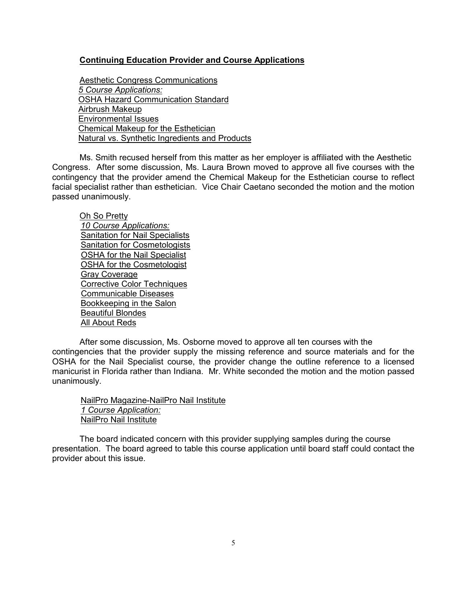# **Continuing Education Provider and Course Applications**

Aesthetic Congress Communications *5 Course Applications:* OSHA Hazard Communication Standard Airbrush Makeup Environmental Issues Chemical Makeup for the Esthetician Natural vs. Synthetic Ingredients and Products

Ms. Smith recused herself from this matter as her employer is affiliated with the Aesthetic Congress. After some discussion, Ms. Laura Brown moved to approve all five courses with the contingency that the provider amend the Chemical Makeup for the Esthetician course to reflect facial specialist rather than esthetician. Vice Chair Caetano seconded the motion and the motion passed unanimously.

Oh So Pretty *10 Course Applications:* Sanitation for Nail Specialists Sanitation for Cosmetologists OSHA for the Nail Specialist OSHA for the Cosmetologist Gray Coverage Corrective Color Techniques Communicable Diseases Bookkeeping in the Salon Beautiful Blondes All About Reds

After some discussion, Ms. Osborne moved to approve all ten courses with the contingencies that the provider supply the missing reference and source materials and for the OSHA for the Nail Specialist course, the provider change the outline reference to a licensed manicurist in Florida rather than Indiana. Mr. White seconded the motion and the motion passed unanimously.

 NailPro Magazine-NailPro Nail Institute  *1 Course Application:* NailPro Nail Institute

The board indicated concern with this provider supplying samples during the course presentation. The board agreed to table this course application until board staff could contact the provider about this issue.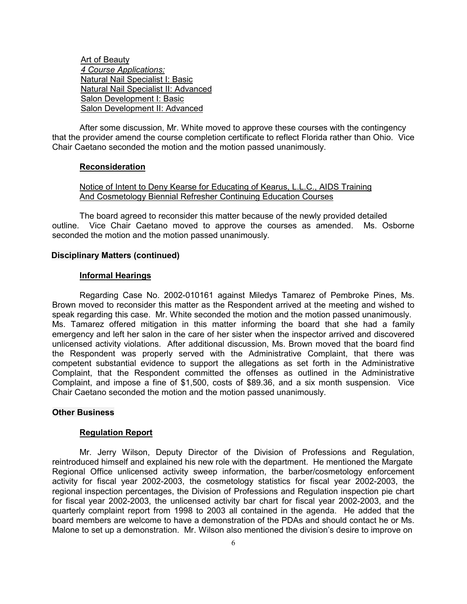Art of Beauty  *4 Course Applications:* Natural Nail Specialist I: Basic Natural Nail Specialist II: Advanced Salon Development I: Basic Salon Development II: Advanced

After some discussion, Mr. White moved to approve these courses with the contingency that the provider amend the course completion certificate to reflect Florida rather than Ohio. Vice Chair Caetano seconded the motion and the motion passed unanimously.

#### **Reconsideration**

Notice of Intent to Deny Kearse for Educating of Kearus, L.L.C., AIDS Training And Cosmetology Biennial Refresher Continuing Education Courses

The board agreed to reconsider this matter because of the newly provided detailed outline. Vice Chair Caetano moved to approve the courses as amended. Ms. Osborne seconded the motion and the motion passed unanimously.

# **Disciplinary Matters (continued)**

#### **Informal Hearings**

Regarding Case No. 2002-010161 against Miledys Tamarez of Pembroke Pines, Ms. Brown moved to reconsider this matter as the Respondent arrived at the meeting and wished to speak regarding this case. Mr. White seconded the motion and the motion passed unanimously. Ms. Tamarez offered mitigation in this matter informing the board that she had a family emergency and left her salon in the care of her sister when the inspector arrived and discovered unlicensed activity violations. After additional discussion, Ms. Brown moved that the board find the Respondent was properly served with the Administrative Complaint, that there was competent substantial evidence to support the allegations as set forth in the Administrative Complaint, that the Respondent committed the offenses as outlined in the Administrative Complaint, and impose a fine of \$1,500, costs of \$89.36, and a six month suspension. Vice Chair Caetano seconded the motion and the motion passed unanimously.

# **Other Business**

#### **Regulation Report**

Mr. Jerry Wilson, Deputy Director of the Division of Professions and Regulation, reintroduced himself and explained his new role with the department. He mentioned the Margate Regional Office unlicensed activity sweep information, the barber/cosmetology enforcement activity for fiscal year 2002-2003, the cosmetology statistics for fiscal year 2002-2003, the regional inspection percentages, the Division of Professions and Regulation inspection pie chart for fiscal year 2002-2003, the unlicensed activity bar chart for fiscal year 2002-2003, and the quarterly complaint report from 1998 to 2003 all contained in the agenda. He added that the board members are welcome to have a demonstration of the PDAs and should contact he or Ms. Malone to set up a demonstration. Mr. Wilson also mentioned the division's desire to improve on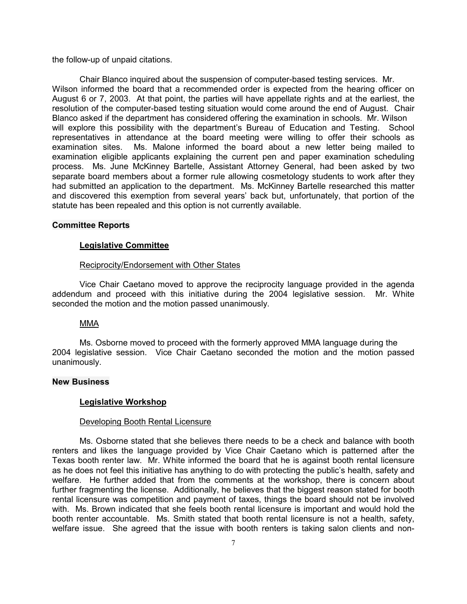the follow-up of unpaid citations.

Chair Blanco inquired about the suspension of computer-based testing services. Mr. Wilson informed the board that a recommended order is expected from the hearing officer on August 6 or 7, 2003. At that point, the parties will have appellate rights and at the earliest, the resolution of the computer-based testing situation would come around the end of August. Chair Blanco asked if the department has considered offering the examination in schools. Mr. Wilson will explore this possibility with the department's Bureau of Education and Testing. School representatives in attendance at the board meeting were willing to offer their schools as examination sites. Ms. Malone informed the board about a new letter being mailed to examination eligible applicants explaining the current pen and paper examination scheduling process. Ms. June McKinney Bartelle, Assistant Attorney General, had been asked by two separate board members about a former rule allowing cosmetology students to work after they had submitted an application to the department. Ms. McKinney Bartelle researched this matter and discovered this exemption from several years' back but, unfortunately, that portion of the statute has been repealed and this option is not currently available.

## **Committee Reports**

## **Legislative Committee**

## Reciprocity/Endorsement with Other States

Vice Chair Caetano moved to approve the reciprocity language provided in the agenda addendum and proceed with this initiative during the 2004 legislative session. Mr. White seconded the motion and the motion passed unanimously.

## MMA

Ms. Osborne moved to proceed with the formerly approved MMA language during the 2004 legislative session. Vice Chair Caetano seconded the motion and the motion passed unanimously.

# **New Business**

# **Legislative Workshop**

## Developing Booth Rental Licensure

Ms. Osborne stated that she believes there needs to be a check and balance with booth renters and likes the language provided by Vice Chair Caetano which is patterned after the Texas booth renter law. Mr. White informed the board that he is against booth rental licensure as he does not feel this initiative has anything to do with protecting the public's health, safety and welfare. He further added that from the comments at the workshop, there is concern about further fragmenting the license. Additionally, he believes that the biggest reason stated for booth rental licensure was competition and payment of taxes, things the board should not be involved with. Ms. Brown indicated that she feels booth rental licensure is important and would hold the booth renter accountable. Ms. Smith stated that booth rental licensure is not a health, safety, welfare issue. She agreed that the issue with booth renters is taking salon clients and non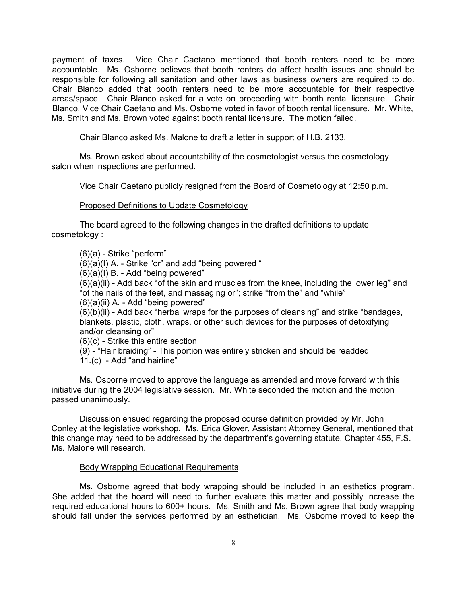payment of taxes. Vice Chair Caetano mentioned that booth renters need to be more accountable. Ms. Osborne believes that booth renters do affect health issues and should be responsible for following all sanitation and other laws as business owners are required to do. Chair Blanco added that booth renters need to be more accountable for their respective areas/space. Chair Blanco asked for a vote on proceeding with booth rental licensure. Chair Blanco, Vice Chair Caetano and Ms. Osborne voted in favor of booth rental licensure. Mr. White, Ms. Smith and Ms. Brown voted against booth rental licensure. The motion failed.

Chair Blanco asked Ms. Malone to draft a letter in support of H.B. 2133.

Ms. Brown asked about accountability of the cosmetologist versus the cosmetology salon when inspections are performed.

Vice Chair Caetano publicly resigned from the Board of Cosmetology at 12:50 p.m.

# Proposed Definitions to Update Cosmetology

The board agreed to the following changes in the drafted definitions to update cosmetology :

(6)(a) - Strike "perform"

(6)(a)(I) A. - Strike "or" and add "being powered "

(6)(a)(I) B. - Add "being powered"

(6)(a)(ii) - Add back "of the skin and muscles from the knee, including the lower leg" and "of the nails of the feet, and massaging or"; strike "from the" and "while"

(6)(a)(ii) A. - Add "being powered"

(6)(b)(ii) - Add back "herbal wraps for the purposes of cleansing" and strike "bandages, blankets, plastic, cloth, wraps, or other such devices for the purposes of detoxifying and/or cleansing or"

(6)(c) - Strike this entire section

(9) - "Hair braiding" - This portion was entirely stricken and should be readded 11.(c) - Add "and hairline"

Ms. Osborne moved to approve the language as amended and move forward with this initiative during the 2004 legislative session. Mr. White seconded the motion and the motion passed unanimously.

Discussion ensued regarding the proposed course definition provided by Mr. John Conley at the legislative workshop. Ms. Erica Glover, Assistant Attorney General, mentioned that this change may need to be addressed by the department's governing statute, Chapter 455, F.S. Ms. Malone will research.

## Body Wrapping Educational Requirements

Ms. Osborne agreed that body wrapping should be included in an esthetics program. She added that the board will need to further evaluate this matter and possibly increase the required educational hours to 600+ hours. Ms. Smith and Ms. Brown agree that body wrapping should fall under the services performed by an esthetician. Ms. Osborne moved to keep the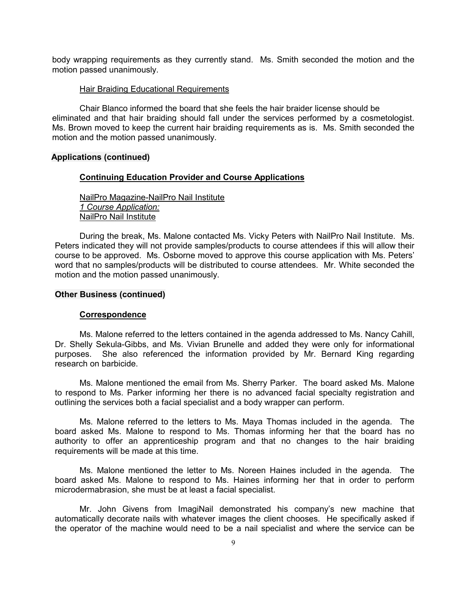body wrapping requirements as they currently stand. Ms. Smith seconded the motion and the motion passed unanimously.

## Hair Braiding Educational Requirements

Chair Blanco informed the board that she feels the hair braider license should be eliminated and that hair braiding should fall under the services performed by a cosmetologist. Ms. Brown moved to keep the current hair braiding requirements as is. Ms. Smith seconded the motion and the motion passed unanimously.

## **Applications (continued)**

## **Continuing Education Provider and Course Applications**

NailPro Magazine-NailPro Nail Institute *1 Course Application:* NailPro Nail Institute

During the break, Ms. Malone contacted Ms. Vicky Peters with NailPro Nail Institute. Ms. Peters indicated they will not provide samples/products to course attendees if this will allow their course to be approved. Ms. Osborne moved to approve this course application with Ms. Peters' word that no samples/products will be distributed to course attendees. Mr. White seconded the motion and the motion passed unanimously.

# **Other Business (continued)**

#### **Correspondence**

Ms. Malone referred to the letters contained in the agenda addressed to Ms. Nancy Cahill, Dr. Shelly Sekula-Gibbs, and Ms. Vivian Brunelle and added they were only for informational purposes. She also referenced the information provided by Mr. Bernard King regarding research on barbicide.

Ms. Malone mentioned the email from Ms. Sherry Parker. The board asked Ms. Malone to respond to Ms. Parker informing her there is no advanced facial specialty registration and outlining the services both a facial specialist and a body wrapper can perform.

Ms. Malone referred to the letters to Ms. Maya Thomas included in the agenda. The board asked Ms. Malone to respond to Ms. Thomas informing her that the board has no authority to offer an apprenticeship program and that no changes to the hair braiding requirements will be made at this time.

Ms. Malone mentioned the letter to Ms. Noreen Haines included in the agenda. The board asked Ms. Malone to respond to Ms. Haines informing her that in order to perform microdermabrasion, she must be at least a facial specialist.

Mr. John Givens from ImagiNail demonstrated his company's new machine that automatically decorate nails with whatever images the client chooses. He specifically asked if the operator of the machine would need to be a nail specialist and where the service can be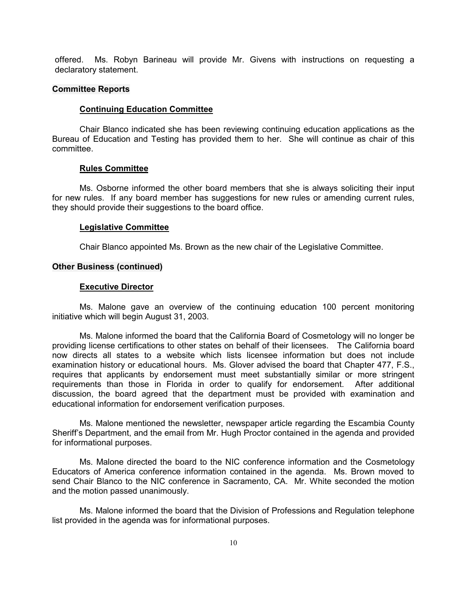offered. Ms. Robyn Barineau will provide Mr. Givens with instructions on requesting a declaratory statement.

## **Committee Reports**

## **Continuing Education Committee**

Chair Blanco indicated she has been reviewing continuing education applications as the Bureau of Education and Testing has provided them to her. She will continue as chair of this committee.

## **Rules Committee**

Ms. Osborne informed the other board members that she is always soliciting their input for new rules. If any board member has suggestions for new rules or amending current rules, they should provide their suggestions to the board office.

#### **Legislative Committee**

Chair Blanco appointed Ms. Brown as the new chair of the Legislative Committee.

# **Other Business (continued)**

# **Executive Director**

Ms. Malone gave an overview of the continuing education 100 percent monitoring initiative which will begin August 31, 2003.

 Ms. Malone informed the board that the California Board of Cosmetology will no longer be providing license certifications to other states on behalf of their licensees. The California board now directs all states to a website which lists licensee information but does not include examination history or educational hours. Ms. Glover advised the board that Chapter 477, F.S., requires that applicants by endorsement must meet substantially similar or more stringent requirements than those in Florida in order to qualify for endorsement. After additional discussion, the board agreed that the department must be provided with examination and educational information for endorsement verification purposes.

Ms. Malone mentioned the newsletter, newspaper article regarding the Escambia County Sheriff's Department, and the email from Mr. Hugh Proctor contained in the agenda and provided for informational purposes.

Ms. Malone directed the board to the NIC conference information and the Cosmetology Educators of America conference information contained in the agenda. Ms. Brown moved to send Chair Blanco to the NIC conference in Sacramento, CA. Mr. White seconded the motion and the motion passed unanimously.

Ms. Malone informed the board that the Division of Professions and Regulation telephone list provided in the agenda was for informational purposes.